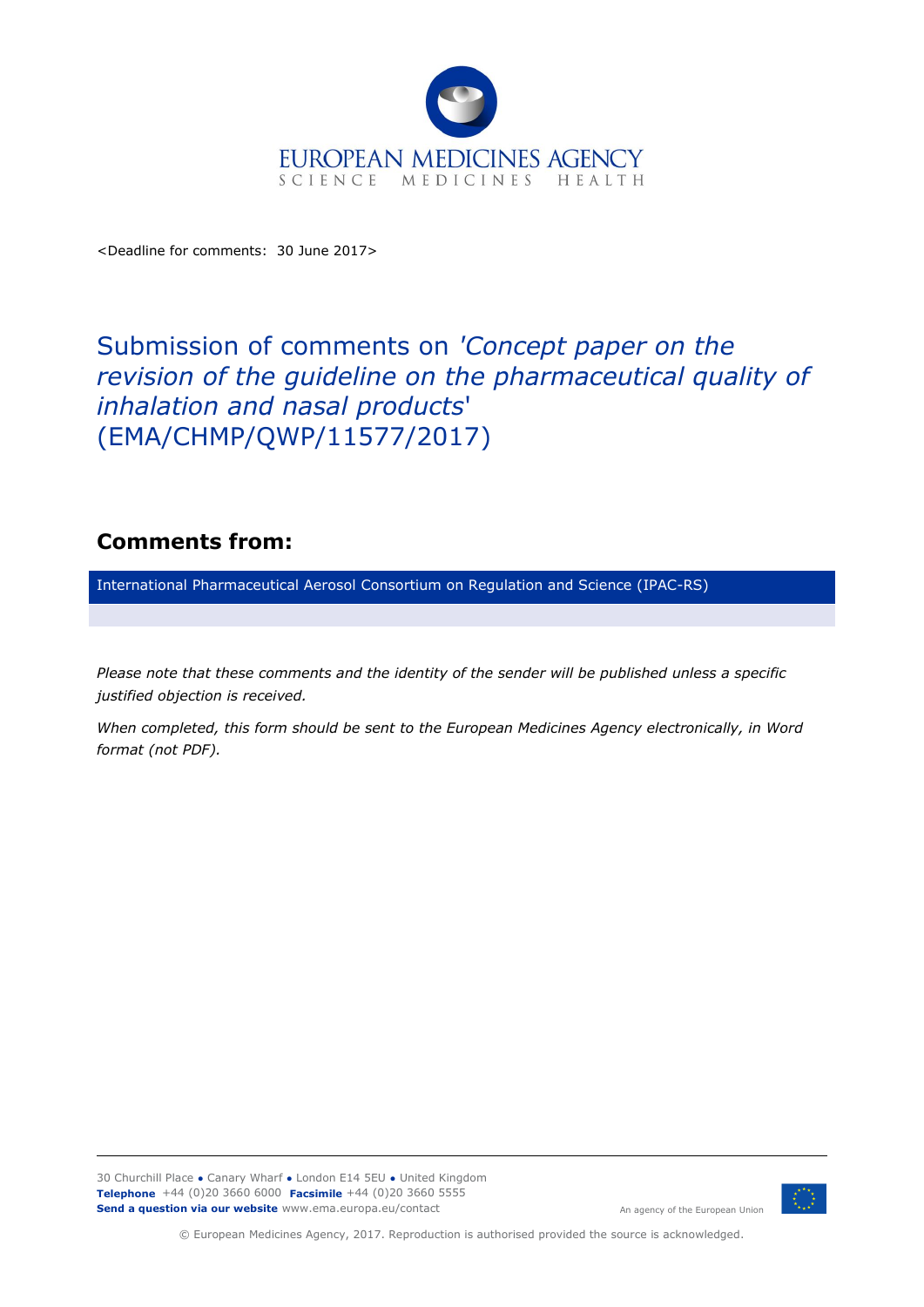

<Deadline for comments: 30 June 2017>

## Submission of comments on *'Concept paper on the revision of the guideline on the pharmaceutical quality of inhalation and nasal products*' (EMA/CHMP/QWP/11577/2017)

## **Comments from:**

International Pharmaceutical Aerosol Consortium on Regulation and Science (IPAC-RS)

*Please note that these comments and the identity of the sender will be published unless a specific justified objection is received.*

*When completed, this form should be sent to the European Medicines Agency electronically, in Word format (not PDF).*

30 Churchill Place **●** Canary Wharf **●** London E14 5EU **●** United Kingdom **Telephone** +44 (0)20 3660 6000 **Facsimile** +44 (0)20 3660 5555 **Send a question via our website** www.ema.europa.eu/contact



An agency of the European Union

© European Medicines Agency, 2017. Reproduction is authorised provided the source is acknowledged.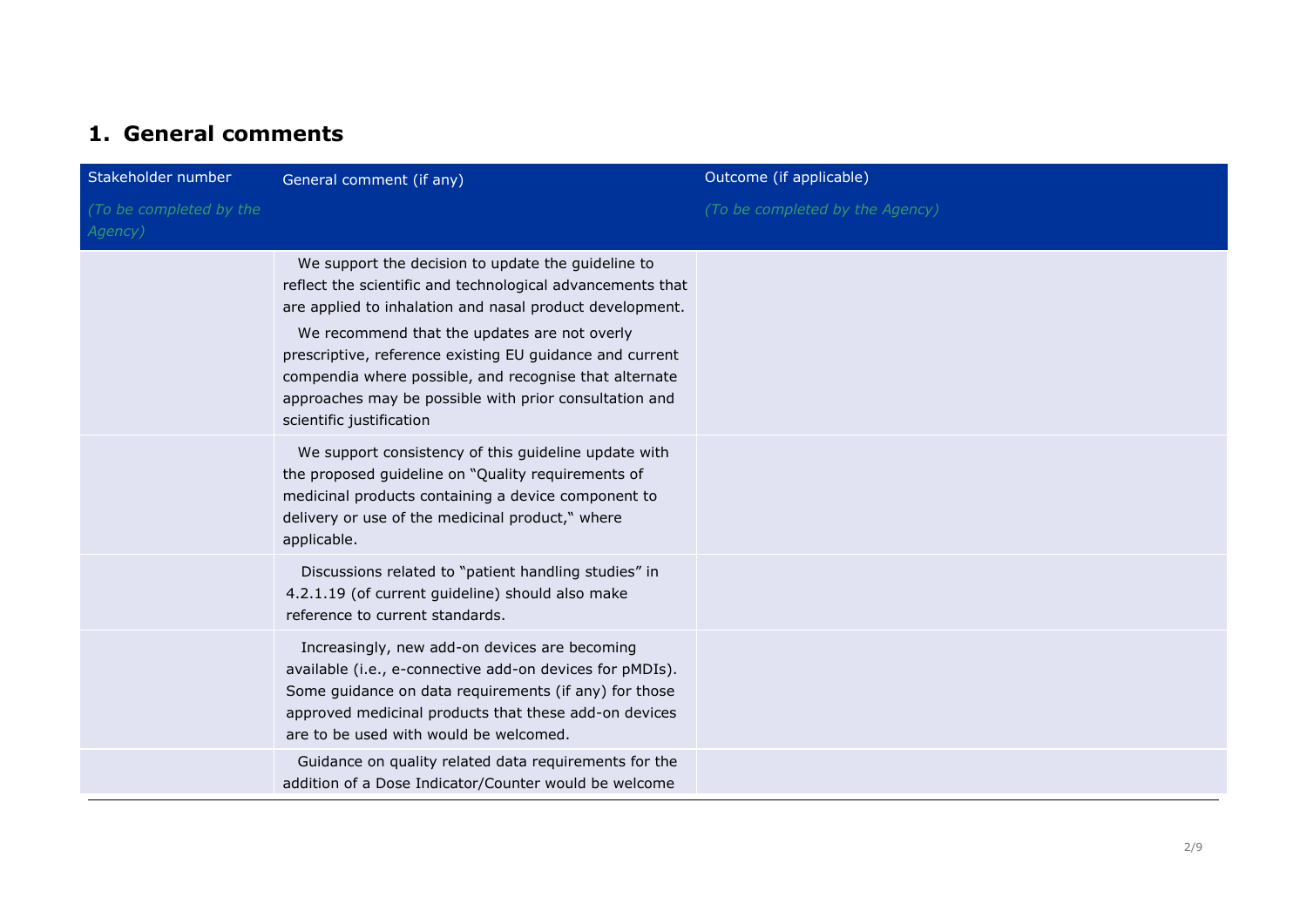## **1. General comments**

| Stakeholder number                 | General comment (if any)                                                                                                                                                                                                                                                                                                                                                                                                                 | Outcome (if applicable)         |
|------------------------------------|------------------------------------------------------------------------------------------------------------------------------------------------------------------------------------------------------------------------------------------------------------------------------------------------------------------------------------------------------------------------------------------------------------------------------------------|---------------------------------|
| (To be completed by the<br>Agency) |                                                                                                                                                                                                                                                                                                                                                                                                                                          | (To be completed by the Agency) |
|                                    | We support the decision to update the guideline to<br>reflect the scientific and technological advancements that<br>are applied to inhalation and nasal product development.<br>We recommend that the updates are not overly<br>prescriptive, reference existing EU guidance and current<br>compendia where possible, and recognise that alternate<br>approaches may be possible with prior consultation and<br>scientific justification |                                 |
|                                    | We support consistency of this guideline update with<br>the proposed guideline on "Quality requirements of<br>medicinal products containing a device component to<br>delivery or use of the medicinal product," where<br>applicable.                                                                                                                                                                                                     |                                 |
|                                    | Discussions related to "patient handling studies" in<br>4.2.1.19 (of current guideline) should also make<br>reference to current standards.                                                                                                                                                                                                                                                                                              |                                 |
|                                    | Increasingly, new add-on devices are becoming<br>available (i.e., e-connective add-on devices for pMDIs).<br>Some guidance on data requirements (if any) for those<br>approved medicinal products that these add-on devices<br>are to be used with would be welcomed.                                                                                                                                                                    |                                 |
|                                    | Guidance on quality related data requirements for the<br>addition of a Dose Indicator/Counter would be welcome                                                                                                                                                                                                                                                                                                                           |                                 |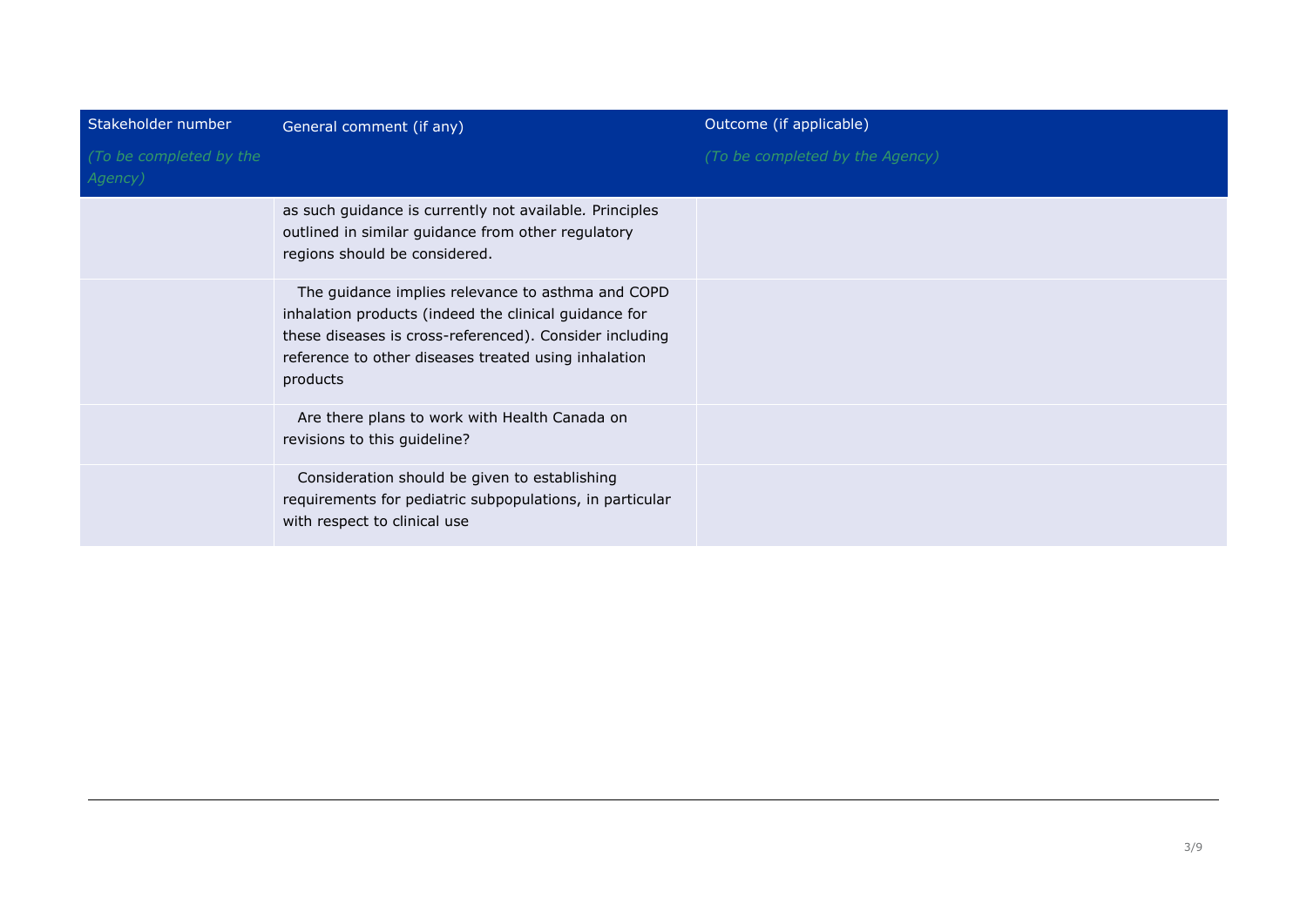| Stakeholder number                 | General comment (if any)                                                                                                                                                                                                                  | Outcome (if applicable)         |
|------------------------------------|-------------------------------------------------------------------------------------------------------------------------------------------------------------------------------------------------------------------------------------------|---------------------------------|
| (To be completed by the<br>Agency) |                                                                                                                                                                                                                                           | (To be completed by the Agency) |
|                                    | as such guidance is currently not available. Principles<br>outlined in similar guidance from other regulatory<br>regions should be considered.                                                                                            |                                 |
|                                    | The guidance implies relevance to asthma and COPD<br>inhalation products (indeed the clinical guidance for<br>these diseases is cross-referenced). Consider including<br>reference to other diseases treated using inhalation<br>products |                                 |
|                                    | Are there plans to work with Health Canada on<br>revisions to this guideline?                                                                                                                                                             |                                 |
|                                    | Consideration should be given to establishing<br>requirements for pediatric subpopulations, in particular<br>with respect to clinical use                                                                                                 |                                 |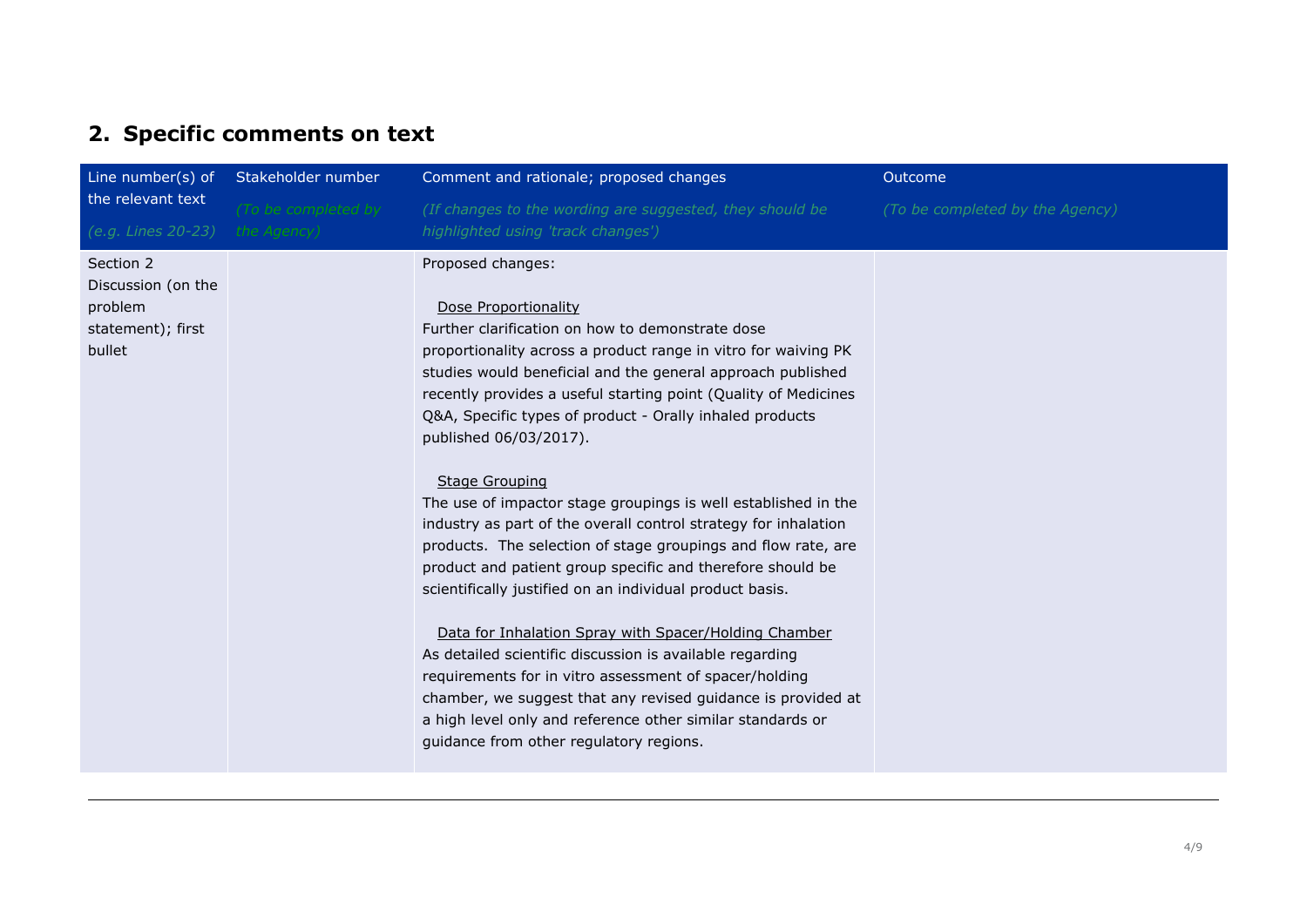## **2. Specific comments on text**

| Line number(s) of                                                         | Stakeholder number                 | Comment and rationale; proposed changes                                                                                                                                                                                                                                                                                                                                                                                                                                                                                                                                                                                                                                                                                                                                                                                                                                                                                                                                                                                                                                                                  | Outcome                         |
|---------------------------------------------------------------------------|------------------------------------|----------------------------------------------------------------------------------------------------------------------------------------------------------------------------------------------------------------------------------------------------------------------------------------------------------------------------------------------------------------------------------------------------------------------------------------------------------------------------------------------------------------------------------------------------------------------------------------------------------------------------------------------------------------------------------------------------------------------------------------------------------------------------------------------------------------------------------------------------------------------------------------------------------------------------------------------------------------------------------------------------------------------------------------------------------------------------------------------------------|---------------------------------|
| the relevant text<br>(e.g. Lines 20-23)                                   | (To be completed by<br>the Agency) | (If changes to the wording are suggested, they should be<br>highlighted using 'track changes')                                                                                                                                                                                                                                                                                                                                                                                                                                                                                                                                                                                                                                                                                                                                                                                                                                                                                                                                                                                                           | (To be completed by the Agency) |
| Section 2<br>Discussion (on the<br>problem<br>statement); first<br>bullet |                                    | Proposed changes:<br>Dose Proportionality<br>Further clarification on how to demonstrate dose<br>proportionality across a product range in vitro for waiving PK<br>studies would beneficial and the general approach published<br>recently provides a useful starting point (Quality of Medicines<br>Q&A, Specific types of product - Orally inhaled products<br>published 06/03/2017).<br><b>Stage Grouping</b><br>The use of impactor stage groupings is well established in the<br>industry as part of the overall control strategy for inhalation<br>products. The selection of stage groupings and flow rate, are<br>product and patient group specific and therefore should be<br>scientifically justified on an individual product basis.<br>Data for Inhalation Spray with Spacer/Holding Chamber<br>As detailed scientific discussion is available regarding<br>requirements for in vitro assessment of spacer/holding<br>chamber, we suggest that any revised guidance is provided at<br>a high level only and reference other similar standards or<br>guidance from other regulatory regions. |                                 |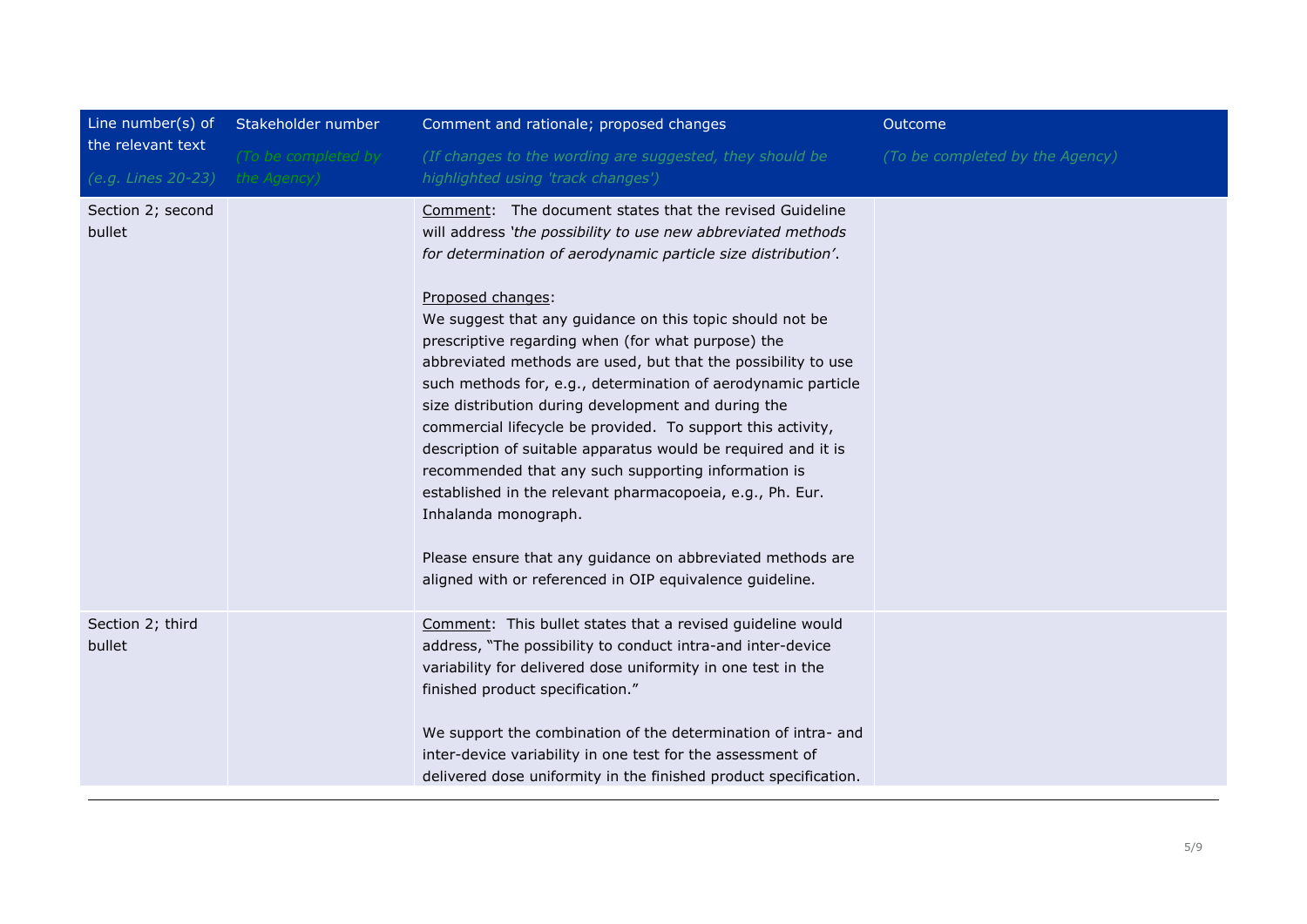| Line number(s) of<br>the relevant text | Stakeholder number  | Comment and rationale; proposed changes                                                                                                                                                                                                                                                                                                                                                                                                                                                                                                                                                                                                                                                                                                                                                                                                                                                                                        | Outcome                         |
|----------------------------------------|---------------------|--------------------------------------------------------------------------------------------------------------------------------------------------------------------------------------------------------------------------------------------------------------------------------------------------------------------------------------------------------------------------------------------------------------------------------------------------------------------------------------------------------------------------------------------------------------------------------------------------------------------------------------------------------------------------------------------------------------------------------------------------------------------------------------------------------------------------------------------------------------------------------------------------------------------------------|---------------------------------|
|                                        | (To be completed by | (If changes to the wording are suggested, they should be                                                                                                                                                                                                                                                                                                                                                                                                                                                                                                                                                                                                                                                                                                                                                                                                                                                                       | (To be completed by the Agency) |
| (e.g. Lines 20-23)                     | the Agency)         | highlighted using 'track changes')                                                                                                                                                                                                                                                                                                                                                                                                                                                                                                                                                                                                                                                                                                                                                                                                                                                                                             |                                 |
| Section 2; second<br>bullet            |                     | Comment: The document states that the revised Guideline<br>will address 'the possibility to use new abbreviated methods<br>for determination of aerodynamic particle size distribution'.<br>Proposed changes:<br>We suggest that any guidance on this topic should not be<br>prescriptive regarding when (for what purpose) the<br>abbreviated methods are used, but that the possibility to use<br>such methods for, e.g., determination of aerodynamic particle<br>size distribution during development and during the<br>commercial lifecycle be provided. To support this activity,<br>description of suitable apparatus would be required and it is<br>recommended that any such supporting information is<br>established in the relevant pharmacopoeia, e.g., Ph. Eur.<br>Inhalanda monograph.<br>Please ensure that any guidance on abbreviated methods are<br>aligned with or referenced in OIP equivalence guideline. |                                 |
| Section 2; third<br>bullet             |                     | Comment: This bullet states that a revised guideline would<br>address, "The possibility to conduct intra-and inter-device<br>variability for delivered dose uniformity in one test in the<br>finished product specification."<br>We support the combination of the determination of intra- and<br>inter-device variability in one test for the assessment of<br>delivered dose uniformity in the finished product specification.                                                                                                                                                                                                                                                                                                                                                                                                                                                                                               |                                 |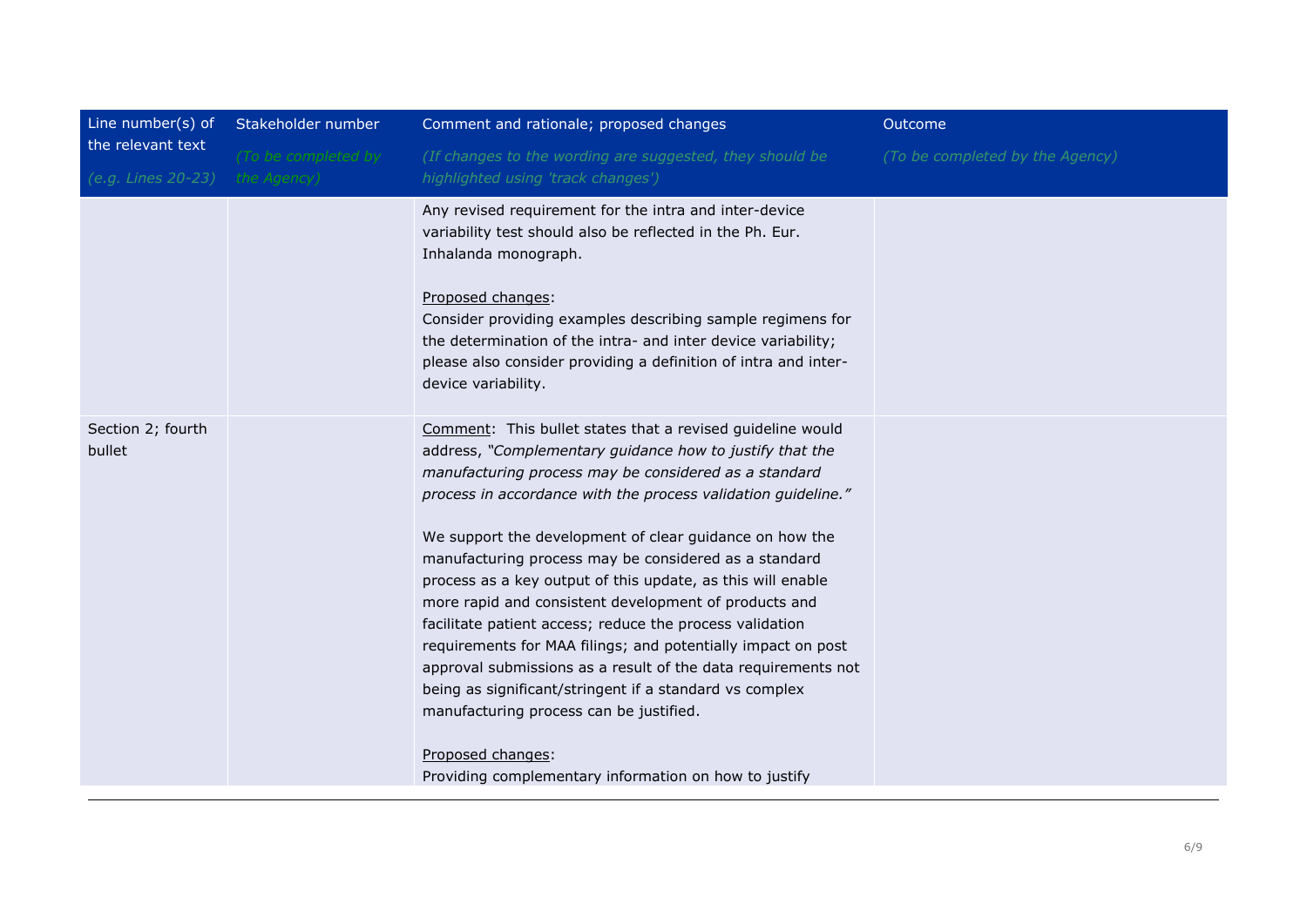| Line number(s) of           | Stakeholder number  | Comment and rationale; proposed changes                                                                                                                                                                                                                                                                                                                                                                                                                                                                                                                                                                                                                                                                                                                                                                              | Outcome                         |
|-----------------------------|---------------------|----------------------------------------------------------------------------------------------------------------------------------------------------------------------------------------------------------------------------------------------------------------------------------------------------------------------------------------------------------------------------------------------------------------------------------------------------------------------------------------------------------------------------------------------------------------------------------------------------------------------------------------------------------------------------------------------------------------------------------------------------------------------------------------------------------------------|---------------------------------|
| the relevant text           | (To be completed by | (If changes to the wording are suggested, they should be                                                                                                                                                                                                                                                                                                                                                                                                                                                                                                                                                                                                                                                                                                                                                             | (To be completed by the Agency) |
| (e.g. Lines 20-23)          | the Agency)         | highlighted using 'track changes')                                                                                                                                                                                                                                                                                                                                                                                                                                                                                                                                                                                                                                                                                                                                                                                   |                                 |
|                             |                     | Any revised requirement for the intra and inter-device<br>variability test should also be reflected in the Ph. Eur.<br>Inhalanda monograph.<br>Proposed changes:<br>Consider providing examples describing sample regimens for<br>the determination of the intra- and inter device variability;<br>please also consider providing a definition of intra and inter-                                                                                                                                                                                                                                                                                                                                                                                                                                                   |                                 |
|                             |                     | device variability.                                                                                                                                                                                                                                                                                                                                                                                                                                                                                                                                                                                                                                                                                                                                                                                                  |                                 |
| Section 2; fourth<br>bullet |                     | Comment: This bullet states that a revised guideline would<br>address, "Complementary guidance how to justify that the<br>manufacturing process may be considered as a standard<br>process in accordance with the process validation guideline."<br>We support the development of clear guidance on how the<br>manufacturing process may be considered as a standard<br>process as a key output of this update, as this will enable<br>more rapid and consistent development of products and<br>facilitate patient access; reduce the process validation<br>requirements for MAA filings; and potentially impact on post<br>approval submissions as a result of the data requirements not<br>being as significant/stringent if a standard vs complex<br>manufacturing process can be justified.<br>Proposed changes: |                                 |
|                             |                     | Providing complementary information on how to justify                                                                                                                                                                                                                                                                                                                                                                                                                                                                                                                                                                                                                                                                                                                                                                |                                 |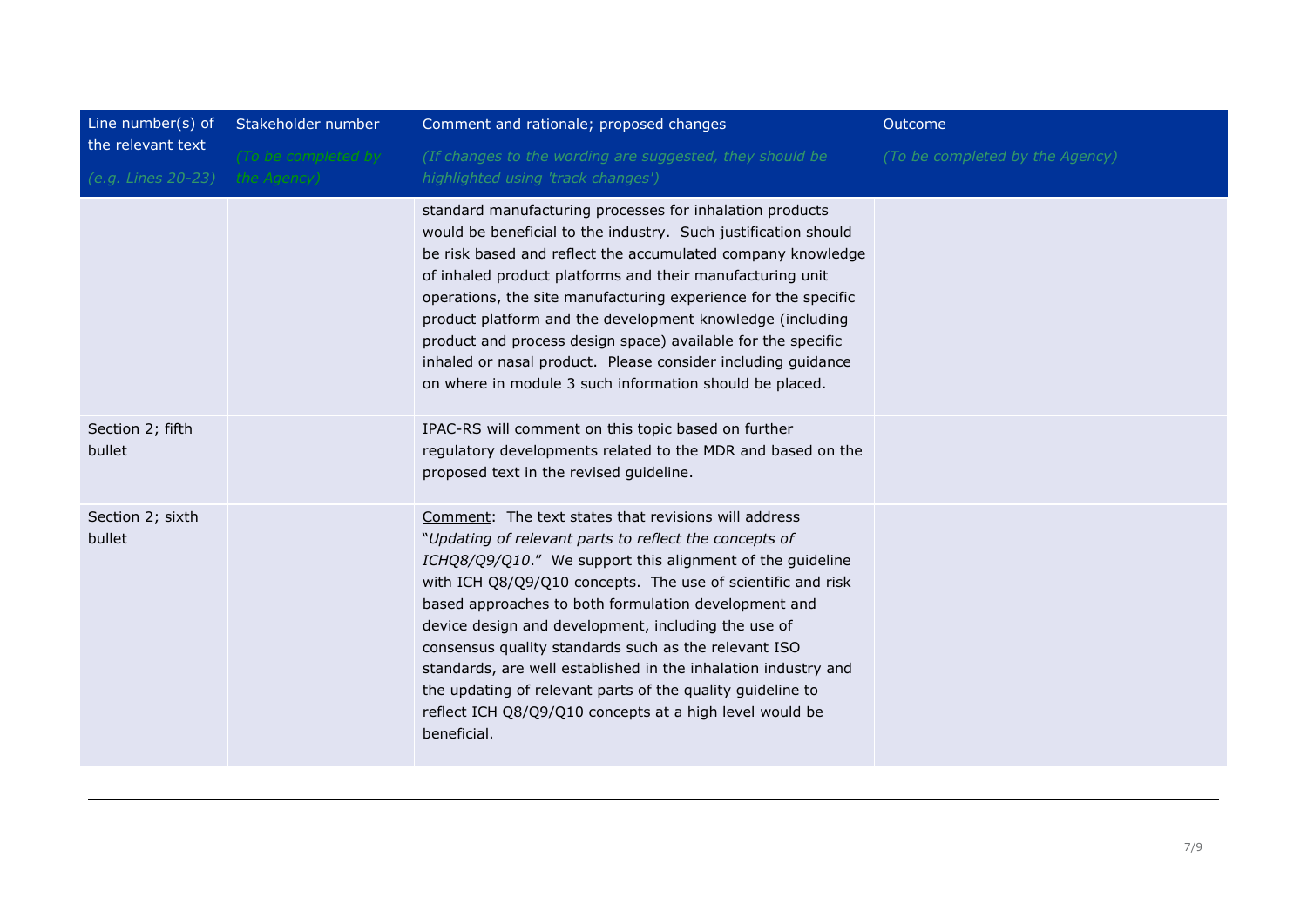| Line number(s) of                       | Stakeholder number                 | Comment and rationale; proposed changes                                                                                                                                                                                                                                                                                                                                                                                                                                                                                                                                                                                     | Outcome                         |
|-----------------------------------------|------------------------------------|-----------------------------------------------------------------------------------------------------------------------------------------------------------------------------------------------------------------------------------------------------------------------------------------------------------------------------------------------------------------------------------------------------------------------------------------------------------------------------------------------------------------------------------------------------------------------------------------------------------------------------|---------------------------------|
| the relevant text<br>(e.g. Lines 20-23) | (To be completed by<br>the Agency) | (If changes to the wording are suggested, they should be<br>highlighted using 'track changes')                                                                                                                                                                                                                                                                                                                                                                                                                                                                                                                              | (To be completed by the Agency) |
|                                         |                                    | standard manufacturing processes for inhalation products<br>would be beneficial to the industry. Such justification should<br>be risk based and reflect the accumulated company knowledge<br>of inhaled product platforms and their manufacturing unit<br>operations, the site manufacturing experience for the specific<br>product platform and the development knowledge (including<br>product and process design space) available for the specific<br>inhaled or nasal product. Please consider including guidance<br>on where in module 3 such information should be placed.                                            |                                 |
| Section 2; fifth<br>bullet              |                                    | IPAC-RS will comment on this topic based on further<br>regulatory developments related to the MDR and based on the<br>proposed text in the revised guideline.                                                                                                                                                                                                                                                                                                                                                                                                                                                               |                                 |
| Section 2; sixth<br>bullet              |                                    | Comment: The text states that revisions will address<br>"Updating of relevant parts to reflect the concepts of<br>ICHQ8/Q9/Q10." We support this alignment of the guideline<br>with ICH Q8/Q9/Q10 concepts. The use of scientific and risk<br>based approaches to both formulation development and<br>device design and development, including the use of<br>consensus quality standards such as the relevant ISO<br>standards, are well established in the inhalation industry and<br>the updating of relevant parts of the quality guideline to<br>reflect ICH Q8/Q9/Q10 concepts at a high level would be<br>beneficial. |                                 |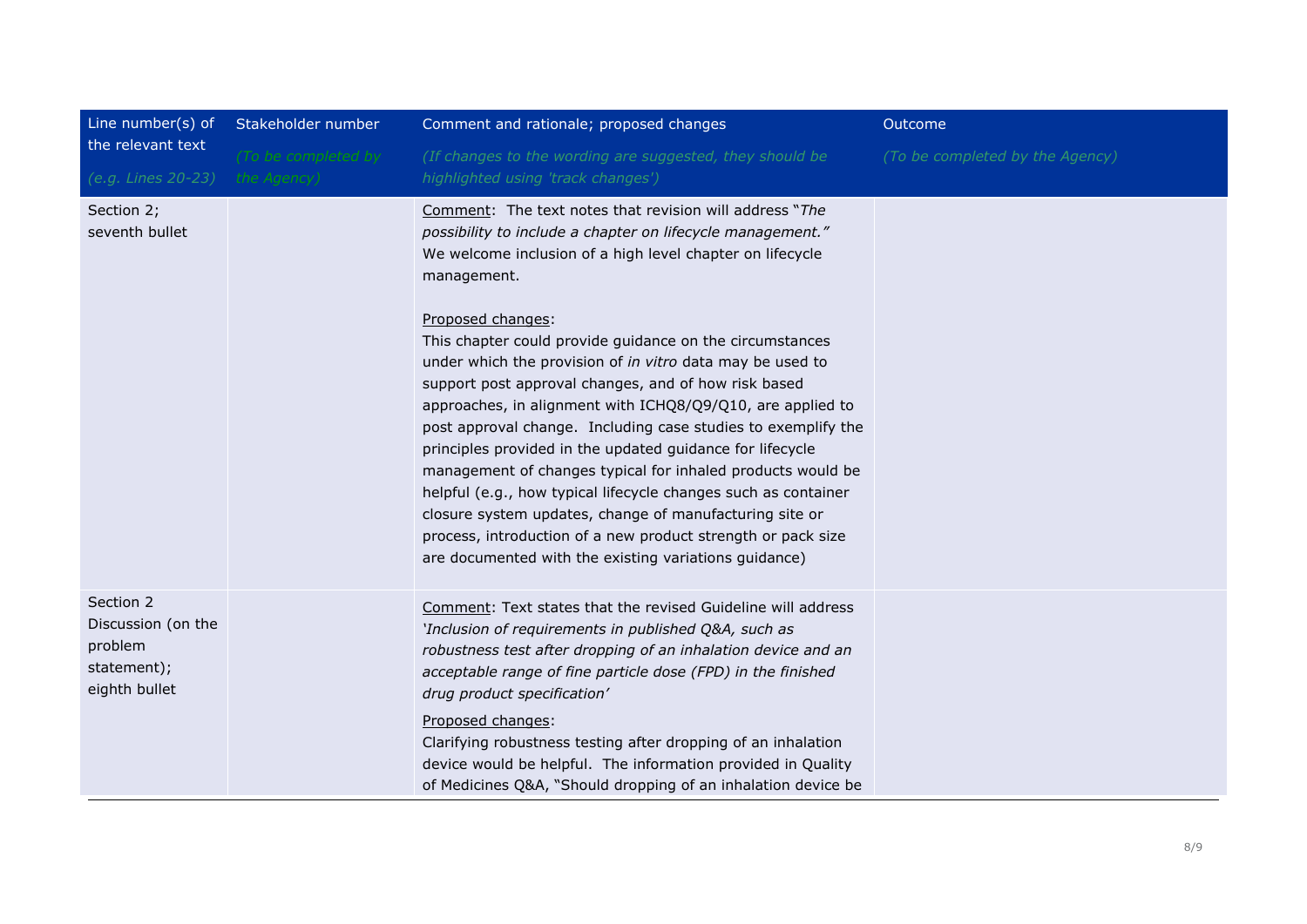| Line number(s) of<br>the relevant text<br>(e.g. Lines 20-23)               | Stakeholder number                 | Comment and rationale; proposed changes                                                                                                                                                                                                                                                                                                                                                                                                                                                                                                                                                                                                                                                                                                                                                                                                                                                                                  | Outcome                         |
|----------------------------------------------------------------------------|------------------------------------|--------------------------------------------------------------------------------------------------------------------------------------------------------------------------------------------------------------------------------------------------------------------------------------------------------------------------------------------------------------------------------------------------------------------------------------------------------------------------------------------------------------------------------------------------------------------------------------------------------------------------------------------------------------------------------------------------------------------------------------------------------------------------------------------------------------------------------------------------------------------------------------------------------------------------|---------------------------------|
|                                                                            | (To be completed by<br>the Agency) | (If changes to the wording are suggested, they should be<br>highlighted using 'track changes')                                                                                                                                                                                                                                                                                                                                                                                                                                                                                                                                                                                                                                                                                                                                                                                                                           | (To be completed by the Agency) |
| Section 2;<br>seventh bullet                                               |                                    | Comment: The text notes that revision will address "The<br>possibility to include a chapter on lifecycle management."<br>We welcome inclusion of a high level chapter on lifecycle<br>management.<br>Proposed changes:<br>This chapter could provide guidance on the circumstances<br>under which the provision of in vitro data may be used to<br>support post approval changes, and of how risk based<br>approaches, in alignment with ICHQ8/Q9/Q10, are applied to<br>post approval change. Including case studies to exemplify the<br>principles provided in the updated guidance for lifecycle<br>management of changes typical for inhaled products would be<br>helpful (e.g., how typical lifecycle changes such as container<br>closure system updates, change of manufacturing site or<br>process, introduction of a new product strength or pack size<br>are documented with the existing variations guidance) |                                 |
| Section 2<br>Discussion (on the<br>problem<br>statement);<br>eighth bullet |                                    | Comment: Text states that the revised Guideline will address<br>'Inclusion of requirements in published Q&A, such as<br>robustness test after dropping of an inhalation device and an<br>acceptable range of fine particle dose (FPD) in the finished<br>drug product specification'<br>Proposed changes:<br>Clarifying robustness testing after dropping of an inhalation<br>device would be helpful. The information provided in Quality<br>of Medicines Q&A, "Should dropping of an inhalation device be                                                                                                                                                                                                                                                                                                                                                                                                              |                                 |